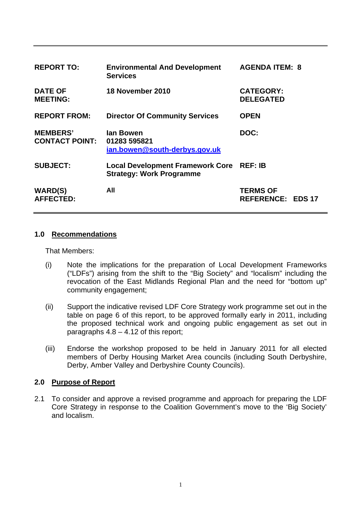| <b>REPORT TO:</b>                        | <b>Environmental And Development</b><br><b>Services</b>                    | <b>AGENDA ITEM: 8</b>                       |  |
|------------------------------------------|----------------------------------------------------------------------------|---------------------------------------------|--|
| <b>DATE OF</b><br><b>MEETING:</b>        | 18 November 2010                                                           | <b>CATEGORY:</b><br><b>DELEGATED</b>        |  |
| <b>REPORT FROM:</b>                      | <b>Director Of Community Services</b>                                      | <b>OPEN</b>                                 |  |
| <b>MEMBERS'</b><br><b>CONTACT POINT:</b> | lan Bowen<br>01283 595821<br>ian.bowen@south-derbys.gov.uk                 | DOC:                                        |  |
| <b>SUBJECT:</b>                          | <b>Local Development Framework Core</b><br><b>Strategy: Work Programme</b> | <b>REF: IB</b>                              |  |
| <b>WARD(S)</b><br><b>AFFECTED:</b>       | All                                                                        | <b>TERMS OF</b><br><b>REFERENCE: EDS 17</b> |  |

#### **1.0 Recommendations**

That Members:

- (i) Note the implications for the preparation of Local Development Frameworks ("LDFs") arising from the shift to the "Big Society" and "localism" including the revocation of the East Midlands Regional Plan and the need for "bottom up" community engagement;
- (ii) Support the indicative revised LDF Core Strategy work programme set out in the table on page 6 of this report, to be approved formally early in 2011, including the proposed technical work and ongoing public engagement as set out in paragraphs  $4.8 - 4.12$  of this report;
- (iii) Endorse the workshop proposed to be held in January 2011 for all elected members of Derby Housing Market Area councils (including South Derbyshire, Derby, Amber Valley and Derbyshire County Councils).

#### **2.0 Purpose of Report**

2.1 To consider and approve a revised programme and approach for preparing the LDF Core Strategy in response to the Coalition Government's move to the 'Big Society' and localism.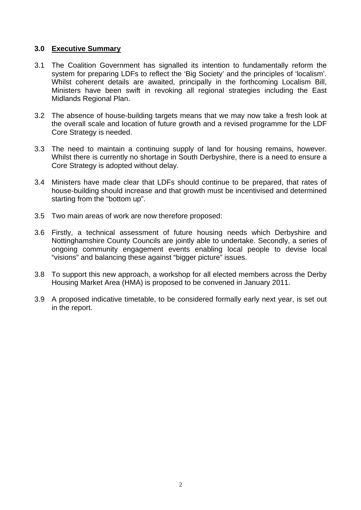#### **3.0 Executive Summary**

- 3.1 The Coalition Government has signalled its intention to fundamentally reform the system for preparing LDFs to reflect the 'Big Society' and the principles of 'localism'. Whilst coherent details are awaited, principally in the forthcoming Localism Bill, Ministers have been swift in revoking all regional strategies including the East Midlands Regional Plan.
- 3.2 The absence of house-building targets means that we may now take a fresh look at the overall scale and location of future growth and a revised programme for the LDF Core Strategy is needed.
- 3.3 The need to maintain a continuing supply of land for housing remains, however. Whilst there is currently no shortage in South Derbyshire, there is a need to ensure a Core Strategy is adopted without delay.
- 3.4 Ministers have made clear that LDFs should continue to be prepared, that rates of house-building should increase and that growth must be incentivised and determined starting from the "bottom up".
- 3.5 Two main areas of work are now therefore proposed:
- 3.6 Firstly, a technical assessment of future housing needs which Derbyshire and Nottinghamshire County Councils are jointly able to undertake. Secondly, a series of ongoing community engagement events enabling local people to devise local "visions" and balancing these against "bigger picture" issues.
- 3.8 To support this new approach, a workshop for all elected members across the Derby Housing Market Area (HMA) is proposed to be convened in January 2011.
- 3.9 A proposed indicative timetable, to be considered formally early next year, is set out in the report.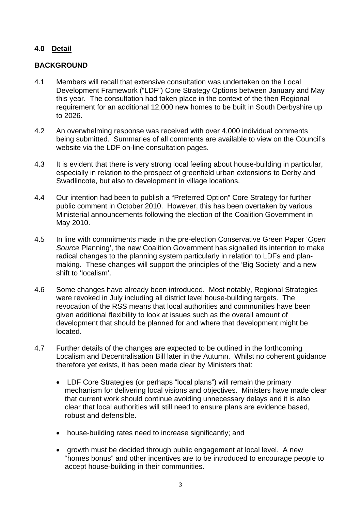## **4.0 Detail**

## **BACKGROUND**

- 4.1 Members will recall that extensive consultation was undertaken on the Local Development Framework ("LDF") Core Strategy Options between January and May this year. The consultation had taken place in the context of the then Regional requirement for an additional 12,000 new homes to be built in South Derbyshire up to 2026.
- 4.2 An overwhelming response was received with over 4,000 individual comments being submitted. Summaries of all comments are available to view on the Council's website via the LDF on-line consultation pages.
- 4.3 It is evident that there is very strong local feeling about house-building in particular, especially in relation to the prospect of greenfield urban extensions to Derby and Swadlincote, but also to development in village locations.
- 4.4 Our intention had been to publish a "Preferred Option" Core Strategy for further public comment in October 2010. However, this has been overtaken by various Ministerial announcements following the election of the Coalition Government in May 2010.
- 4.5 In line with commitments made in the pre-election Conservative Green Paper '*Open Source* Planning', the new Coalition Government has signalled its intention to make radical changes to the planning system particularly in relation to LDFs and planmaking. These changes will support the principles of the 'Big Society' and a new shift to 'localism'.
- 4.6 Some changes have already been introduced. Most notably, Regional Strategies were revoked in July including all district level house-building targets. The revocation of the RSS means that local authorities and communities have been given additional flexibility to look at issues such as the overall amount of development that should be planned for and where that development might be located.
- 4.7 Further details of the changes are expected to be outlined in the forthcoming Localism and Decentralisation Bill later in the Autumn. Whilst no coherent guidance therefore yet exists, it has been made clear by Ministers that:
	- LDF Core Strategies (or perhaps "local plans") will remain the primary mechanism for delivering local visions and objectives. Ministers have made clear that current work should continue avoiding unnecessary delays and it is also clear that local authorities will still need to ensure plans are evidence based, robust and defensible.
	- house-building rates need to increase significantly; and
	- growth must be decided through public engagement at local level. A new "homes bonus" and other incentives are to be introduced to encourage people to accept house-building in their communities.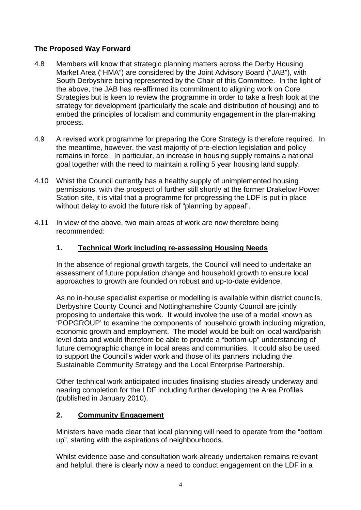# **The Proposed Way Forward**

- 4.8 Members will know that strategic planning matters across the Derby Housing Market Area ("HMA") are considered by the Joint Advisory Board ("JAB"), with South Derbyshire being represented by the Chair of this Committee. In the light of the above, the JAB has re-affirmed its commitment to aligning work on Core Strategies but is keen to review the programme in order to take a fresh look at the strategy for development (particularly the scale and distribution of housing) and to embed the principles of localism and community engagement in the plan-making process.
- 4.9 A revised work programme for preparing the Core Strategy is therefore required. In the meantime, however, the vast majority of pre-election legislation and policy remains in force. In particular, an increase in housing supply remains a national goal together with the need to maintain a rolling 5 year housing land supply.
- 4.10 Whist the Council currently has a healthy supply of unimplemented housing permissions, with the prospect of further still shortly at the former Drakelow Power Station site, it is vital that a programme for progressing the LDF is put in place without delay to avoid the future risk of "planning by appeal".
- 4.11 In view of the above, two main areas of work are now therefore being recommended:

## **1. Technical Work including re-assessing Housing Needs**

In the absence of regional growth targets, the Council will need to undertake an assessment of future population change and household growth to ensure local approaches to growth are founded on robust and up-to-date evidence.

As no in-house specialist expertise or modelling is available within district councils, Derbyshire County Council and Nottinghamshire County Council are jointly proposing to undertake this work. It would involve the use of a model known as 'POPGROUP' to examine the components of household growth including migration, economic growth and employment. The model would be built on local ward/parish level data and would therefore be able to provide a "bottom-up" understanding of future demographic change in local areas and communities. It could also be used to support the Council's wider work and those of its partners including the Sustainable Community Strategy and the Local Enterprise Partnership.

Other technical work anticipated includes finalising studies already underway and nearing completion for the LDF including further developing the Area Profiles (published in January 2010).

## **2. Community Engagement**

Ministers have made clear that local planning will need to operate from the "bottom up", starting with the aspirations of neighbourhoods.

Whilst evidence base and consultation work already undertaken remains relevant and helpful, there is clearly now a need to conduct engagement on the LDF in a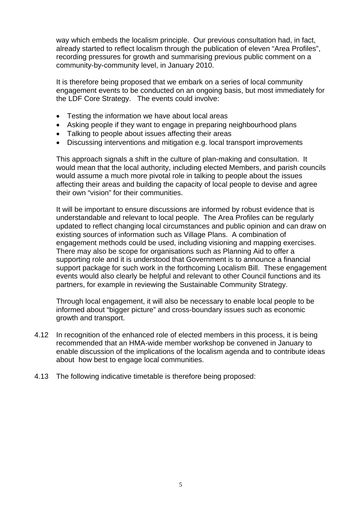way which embeds the localism principle. Our previous consultation had, in fact, already started to reflect localism through the publication of eleven "Area Profiles", recording pressures for growth and summarising previous public comment on a community-by-community level, in January 2010.

It is therefore being proposed that we embark on a series of local community engagement events to be conducted on an ongoing basis, but most immediately for the LDF Core Strategy. The events could involve:

- Testing the information we have about local areas
- Asking people if they want to engage in preparing neighbourhood plans
- Talking to people about issues affecting their areas
- Discussing interventions and mitigation e.g. local transport improvements

This approach signals a shift in the culture of plan-making and consultation. It would mean that the local authority, including elected Members, and parish councils would assume a much more pivotal role in talking to people about the issues affecting their areas and building the capacity of local people to devise and agree their own "vision" for their communities.

It will be important to ensure discussions are informed by robust evidence that is understandable and relevant to local people. The Area Profiles can be regularly updated to reflect changing local circumstances and public opinion and can draw on existing sources of information such as Village Plans. A combination of engagement methods could be used, including visioning and mapping exercises. There may also be scope for organisations such as Planning Aid to offer a supporting role and it is understood that Government is to announce a financial support package for such work in the forthcoming Localism Bill. These engagement events would also clearly be helpful and relevant to other Council functions and its partners, for example in reviewing the Sustainable Community Strategy.

Through local engagement, it will also be necessary to enable local people to be informed about "bigger picture" and cross-boundary issues such as economic growth and transport.

- 4.12 In recognition of the enhanced role of elected members in this process, it is being recommended that an HMA-wide member workshop be convened in January to enable discussion of the implications of the localism agenda and to contribute ideas about how best to engage local communities.
- 4.13 The following indicative timetable is therefore being proposed: